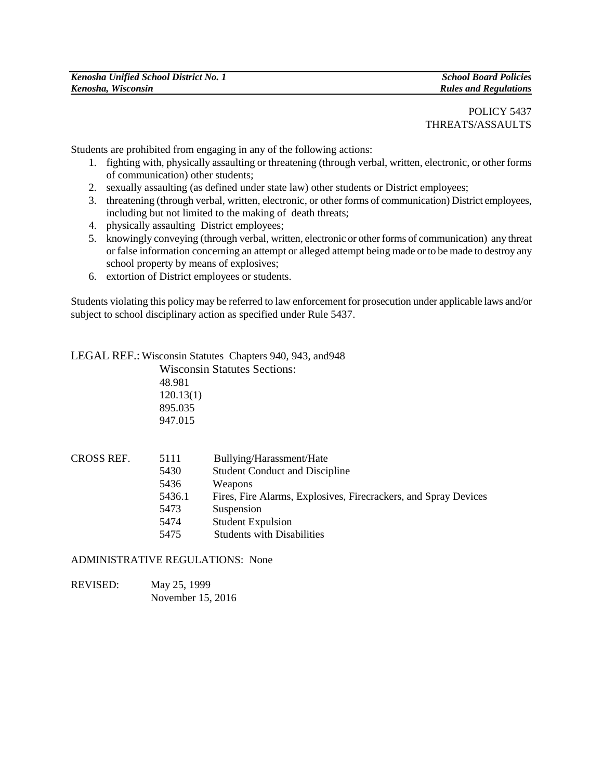POLICY 5437 THREATS/ASSAULTS

Students are prohibited from engaging in any of the following actions:

- 1. fighting with, physically assaulting or threatening (through verbal, written, electronic, or other forms of communication) other students;
- 2. sexually assaulting (as defined under state law) other students or District employees;
- 3. threatening (through verbal, written, electronic, or other forms of communication) District employees, including but not limited to the making of death threats;
- 4. physically assaulting District employees;
- 5. knowingly conveying (through verbal, written, electronic or other forms of communication) any threat or false information concerning an attempt or alleged attempt being made or to be made to destroy any school property by means of explosives;
- 6. extortion of District employees or students.

Students violating this policy may be referred to law enforcement for prosecution under applicable laws and/or subject to school disciplinary action as specified under Rule 5437.

LEGAL REF.: Wisconsin Statutes Chapters 940, 943, and948 Wisconsin Statutes Sections:

48.981 120.13(1) 895.035 947.015

| CROSS REF. | 5111   | Bullying/Harassment/Hate                                        |
|------------|--------|-----------------------------------------------------------------|
|            | 5430   | <b>Student Conduct and Discipline</b>                           |
|            | 5436   | Weapons                                                         |
|            | 5436.1 | Fires, Fire Alarms, Explosives, Firecrackers, and Spray Devices |
|            | 5473   | Suspension                                                      |
|            | 5474   | <b>Student Expulsion</b>                                        |
|            | 5475   | <b>Students with Disabilities</b>                               |

## ADMINISTRATIVE REGULATIONS: None

REVISED: May 25, 1999 November 15, 2016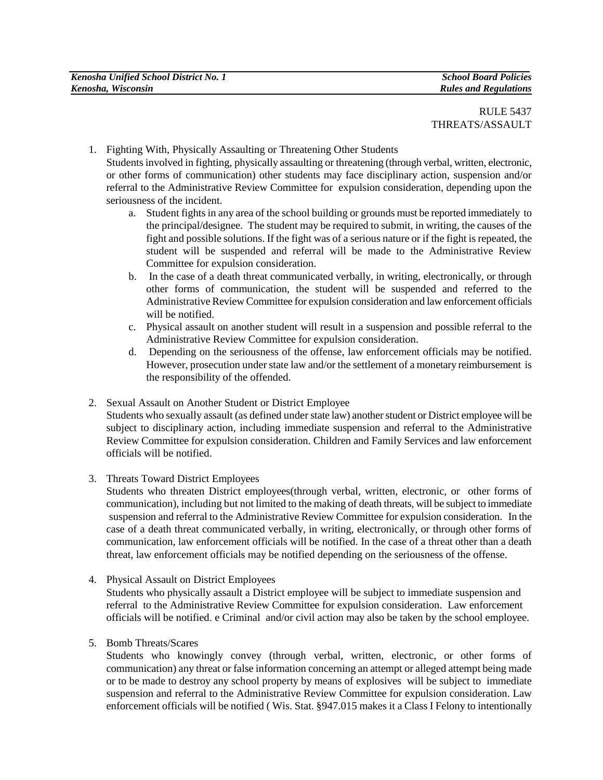- 1. Fighting With, Physically Assaulting or Threatening Other Students Students involved in fighting, physically assaulting or threatening (through verbal, written, electronic, or other forms of communication) other students may face disciplinary action, suspension and/or referral to the Administrative Review Committee for expulsion consideration, depending upon the seriousness of the incident.
	- a. Student fights in any area of the school building or grounds must be reported immediately to the principal/designee. The student may be required to submit, in writing, the causes of the fight and possible solutions. If the fight was of a serious nature or if the fight is repeated, the student will be suspended and referral will be made to the Administrative Review Committee for expulsion consideration.
	- b. In the case of a death threat communicated verbally, in writing, electronically, or through other forms of communication, the student will be suspended and referred to the Administrative Review Committee for expulsion consideration and law enforcement officials will be notified.
	- c. Physical assault on another student will result in a suspension and possible referral to the Administrative Review Committee for expulsion consideration.
	- d. Depending on the seriousness of the offense, law enforcement officials may be notified. However, prosecution under state law and/or the settlement of a monetary reimbursement is the responsibility of the offended.
- 2. Sexual Assault on Another Student or District Employee Students who sexually assault (as defined under state law) another student or District employee will be subject to disciplinary action, including immediate suspension and referral to the Administrative Review Committee for expulsion consideration. Children and Family Services and law enforcement officials will be notified.
- 3. Threats Toward District Employees

Students who threaten District employees(through verbal, written, electronic, or other forms of communication), including but not limited to the making of death threats, will be subject to immediate suspension and referral to the Administrative Review Committee for expulsion consideration. In the case of a death threat communicated verbally, in writing, electronically, or through other forms of communication, law enforcement officials will be notified. In the case of a threat other than a death threat, law enforcement officials may be notified depending on the seriousness of the offense.

4. Physical Assault on District Employees

Students who physically assault a District employee will be subject to immediate suspension and referral to the Administrative Review Committee for expulsion consideration. Law enforcement officials will be notified. e Criminal and/or civil action may also be taken by the school employee.

5. Bomb Threats/Scares

Students who knowingly convey (through verbal, written, electronic, or other forms of communication) any threat or false information concerning an attempt or alleged attempt being made or to be made to destroy any school property by means of explosives will be subject to immediate suspension and referral to the Administrative Review Committee for expulsion consideration. Law enforcement officials will be notified ( Wis. Stat. §947.015 makes it a Class I Felony to intentionally